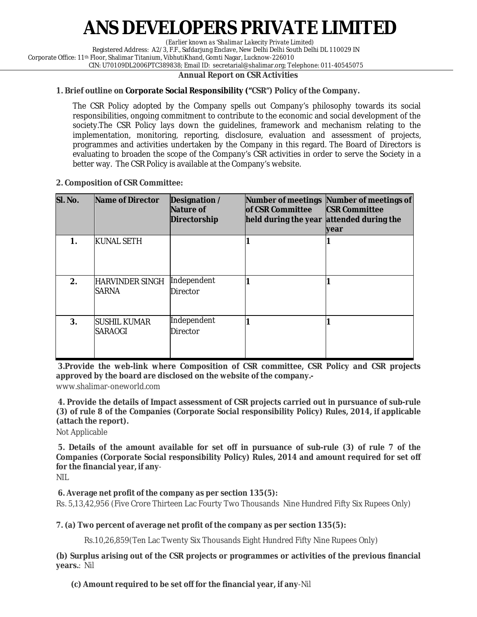# **ANS DEVELOPERS PRIVATE LIMITED**

*(Earlier known as 'Shalimar Lakecity Private Limited)*

Registered Address: A2/3, F.F., Safdarjung Enclave, New Delhi Delhi South Delhi DL 110029 IN

Corporate Office: 11th Floor, Shalimar Titanium, VibhutiKhand, Gomti Nagar, Lucknow-226010 CIN: U70109DL2006PTC389838; Email ID: secretarial@shalimar.org; Telephone: 011-40545075

### **Annual Report on CSR Activities**

### **1. Brief outline on Corporate Social Responsibility ("CSR") Policy of the Company.**

The CSR Policy adopted by the Company spells out Company's philosophy towards its social responsibilities, ongoing commitment to contribute to the economic and social development of the society.The CSR Policy lays down the guidelines, framework and mechanism relating to the implementation, monitoring, reporting, disclosure, evaluation and assessment of projects, programmes and activities undertaken by the Company in this regard. The Board of Directors is evaluating to broaden the scope of the Company's CSR activities in order to serve the Society in a better way. The CSR Policy is available at the Company's website.

### **2. Composition of CSR Committee:**

| SI. No. | Name of Director                       | Designation /<br>Nature of<br>Directorship | <b>lof CSR Committee</b><br>held during the year | Number of meetings Number of meetings of<br><b>CSR Committee</b><br>attended during the<br>year |
|---------|----------------------------------------|--------------------------------------------|--------------------------------------------------|-------------------------------------------------------------------------------------------------|
| 1.      | <b>KUNAL SETH</b>                      |                                            |                                                  |                                                                                                 |
| 2.      | <b>HARVINDER SINGH</b><br><b>SARNA</b> | Independent<br><b>Director</b>             |                                                  |                                                                                                 |
| 3.      | <b>SUSHIL KUMAR</b><br><b>SARAOGI</b>  | Independent<br><b>Director</b>             |                                                  |                                                                                                 |

**3.Provide the web-link where Composition of CSR committee, CSR Policy and CSR projects approved by the board are disclosed on the website of the company.-**

www.shalimar-oneworld.com

**4. Provide the details of Impact assessment of CSR projects carried out in pursuance of sub-rule (3) of rule 8 of the Companies (Corporate Social responsibility Policy) Rules, 2014, if applicable (attach the report).**

Not Applicable

**5. Details of the amount available for set off in pursuance of sub-rule (3) of rule 7 of the Companies (Corporate Social responsibility Policy) Rules, 2014 and amount required for set off for the financial year, if any**-

NIL

### **6. Average net profit of the company as per section 135(5):**

Rs. 5,13,42,956 (Five Crore Thirteen Lac Fourty Two Thousands Nine Hundred Fifty Six Rupees Only)

## **7. (a) Two percent of average net profit of the company as per section 135(5):**

Rs.10,26,859(Ten Lac Twenty Six Thousands Eight Hundred Fifty Nine Rupees Only)

**(b) Surplus arising out of the CSR projects or programmes or activities of the previous financial years.**: Nil

**(c) Amount required to be set off for the financial year, if any**-Nil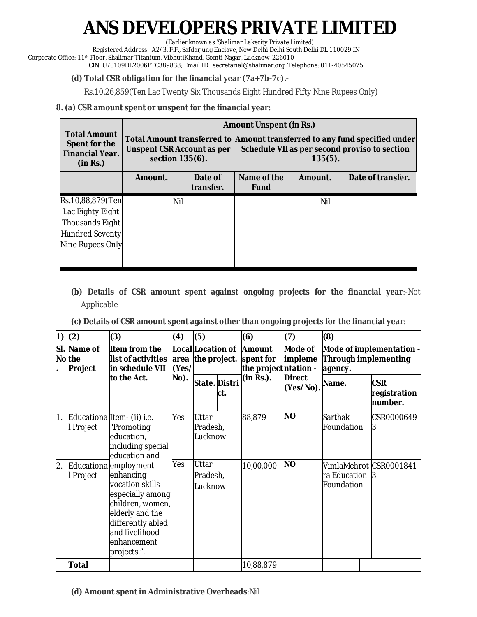# **ANS DEVELOPERS PRIVATE LIMITED**

*(Earlier known as 'Shalimar Lakecity Private Limited)*

Registered Address: A2/3, F.F., Safdarjung Enclave, New Delhi Delhi South Delhi DL 110029 IN

Corporate Office: 11th Floor, Shalimar Titanium, VibhutiKhand, Gomti Nagar, Lucknow-226010 CIN: U70109DL2006PTC389838; Email ID: secretarial@shalimar.org; Telephone: 011-40545075

## **(d) Total CSR obligation for the financial year (7a+7b-7c).-**

Rs.10,26,859(Ten Lac Twenty Six Thousands Eight Hundred Fifty Nine Rupees Only)

## **8. (a) CSR amount spent or unspent for the financial year:**

|                                                                            | <b>Amount Unspent (in Rs.)</b>                |                      |                                                                                                                                           |         |                   |  |  |  |
|----------------------------------------------------------------------------|-----------------------------------------------|----------------------|-------------------------------------------------------------------------------------------------------------------------------------------|---------|-------------------|--|--|--|
| <b>Total Amount</b><br>Spent for the<br><b>Financial Year.</b><br>(in Rs.) | Unspent CSR Account as per<br>section 135(6). |                      | Total Amount transferred to Amount transferred to any fund specified under<br>Schedule VII as per second proviso to section<br>$135(5)$ . |         |                   |  |  |  |
|                                                                            | Amount.                                       | Date of<br>transfer. | Name of the<br><b>Fund</b>                                                                                                                | Amount. | Date of transfer. |  |  |  |
| Rs.10,88,879(Ten                                                           | Nil                                           |                      |                                                                                                                                           | Nil     |                   |  |  |  |
| Lac Eighty Eight                                                           |                                               |                      |                                                                                                                                           |         |                   |  |  |  |
| <b>Thousands Eight</b>                                                     |                                               |                      |                                                                                                                                           |         |                   |  |  |  |
| Hundred Seventy                                                            |                                               |                      |                                                                                                                                           |         |                   |  |  |  |
| Nine Rupees Only                                                           |                                               |                      |                                                                                                                                           |         |                   |  |  |  |
|                                                                            |                                               |                      |                                                                                                                                           |         |                   |  |  |  |

- **(b) Details of CSR amount spent against ongoing projects for the financial year**:-Not Applicable
- **(c) Details of CSR amount spent against other than ongoing projects for the financial year**:

| 1)               | (2)                              | (3)                                                                                                                                                                                   | (4)           | (5)                                 |                      | (6)                                                 | (7)                        | (8)                                                         |                                       |
|------------------|----------------------------------|---------------------------------------------------------------------------------------------------------------------------------------------------------------------------------------|---------------|-------------------------------------|----------------------|-----------------------------------------------------|----------------------------|-------------------------------------------------------------|---------------------------------------|
|                  | SI. Name of<br>No the<br>Project | Item from the<br>list of activities<br>in schedule VII                                                                                                                                | area<br>(Yes/ | Local Location of<br>the project.   |                      | <b>Amount</b><br>spent for<br>the project ntation - | Mode of<br>impleme         | Mode of implementation -<br>Through implementing<br>agency. |                                       |
|                  |                                  | to the Act.                                                                                                                                                                           | No).          |                                     | State. Distri<br>ct. | (in Rs.).                                           | <b>Direct</b><br>(Yes/No). | Name.                                                       | <b>CSR</b><br>registration<br>number. |
| $\overline{1}$ . | Project                          | Educationa Item- (ii) i.e.<br>"Promoting<br>education,<br>including special<br>education and                                                                                          | Yes           | <b>Uttar</b><br>Pradesh,<br>_ucknow |                      | 88,879                                              | <b>NO</b>                  | Sarthak<br>Foundation                                       | CSR0000649<br>3                       |
| 2.               | Project                          | Educationa employment<br>enhancing<br>vocation skills<br>especially among<br>children, women,<br>elderly and the<br>differently abled<br>and livelihood<br>enhancement<br>projects.". | Yes           | Uttar<br>Pradesh,<br>_ucknow        |                      | 10,00,000                                           | <b>NO</b>                  | ra Education<br>Foundation                                  | VimlaMehrot CSR0001841<br>-3          |
|                  | Total                            |                                                                                                                                                                                       |               |                                     |                      | 10,88,879                                           |                            |                                                             |                                       |